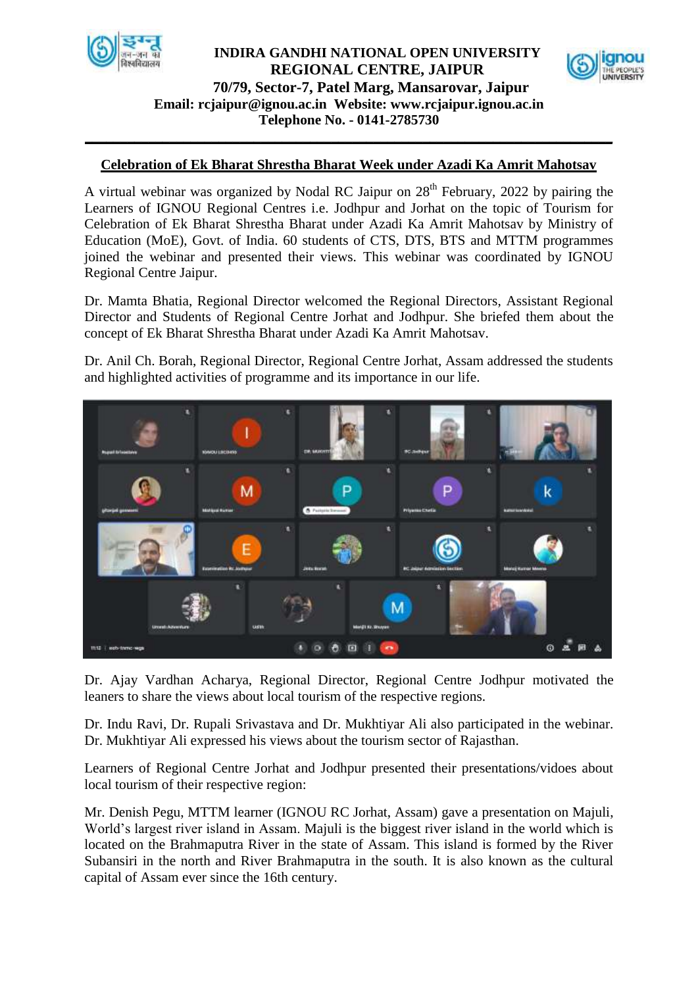

## **Email: [rcjaipur@ignou.ac.in](mailto:rcjaipur@ignou.ac.in) Website: [www.rcjaipur.ignou.ac.in](http://www.rcjaipur.ignou.ac.in/) Telephone No. - 0141-2785730 INDIRA GANDHI NATIONAL OPEN UNIVERSITY REGIONAL CENTRE, JAIPUR 70/79, Sector-7, Patel Marg, Mansarovar, Jaipur**



## **Celebration of Ek Bharat Shrestha Bharat Week under Azadi Ka Amrit Mahotsav**

**\_\_\_\_\_\_\_\_\_\_\_\_\_\_\_\_\_\_\_\_\_\_\_\_\_\_\_\_\_\_\_\_\_\_\_\_\_\_\_\_\_\_\_\_\_\_\_\_\_\_\_\_\_\_\_\_\_\_\_\_\_\_\_\_\_\_\_\_\_\_\_\_\_\_\_**

A virtual webinar was organized by Nodal RC Jaipur on  $28<sup>th</sup>$  February, 2022 by pairing the Learners of IGNOU Regional Centres i.e. Jodhpur and Jorhat on the topic of Tourism for Celebration of Ek Bharat Shrestha Bharat under Azadi Ka Amrit Mahotsav by Ministry of Education (MoE), Govt. of India. 60 students of CTS, DTS, BTS and MTTM programmes joined the webinar and presented their views. This webinar was coordinated by IGNOU Regional Centre Jaipur.

Dr. Mamta Bhatia, Regional Director welcomed the Regional Directors, Assistant Regional Director and Students of Regional Centre Jorhat and Jodhpur. She briefed them about the concept of Ek Bharat Shrestha Bharat under Azadi Ka Amrit Mahotsav.

Dr. Anil Ch. Borah, Regional Director, Regional Centre Jorhat, Assam addressed the students and highlighted activities of programme and its importance in our life.



Dr. Ajay Vardhan Acharya, Regional Director, Regional Centre Jodhpur motivated the leaners to share the views about local tourism of the respective regions.

Dr. Indu Ravi, Dr. Rupali Srivastava and Dr. Mukhtiyar Ali also participated in the webinar. Dr. Mukhtiyar Ali expressed his views about the tourism sector of Rajasthan.

Learners of Regional Centre Jorhat and Jodhpur presented their presentations/vidoes about local tourism of their respective region:

Mr. Denish Pegu, MTTM learner (IGNOU RC Jorhat, Assam) gave a presentation on Majuli, World's largest river island in Assam. Majuli is the biggest river island in the world which is located on the Brahmaputra River in the state of Assam. This island is formed by the River Subansiri in the north and River Brahmaputra in the south. It is also known as the cultural capital of Assam ever since the 16th century.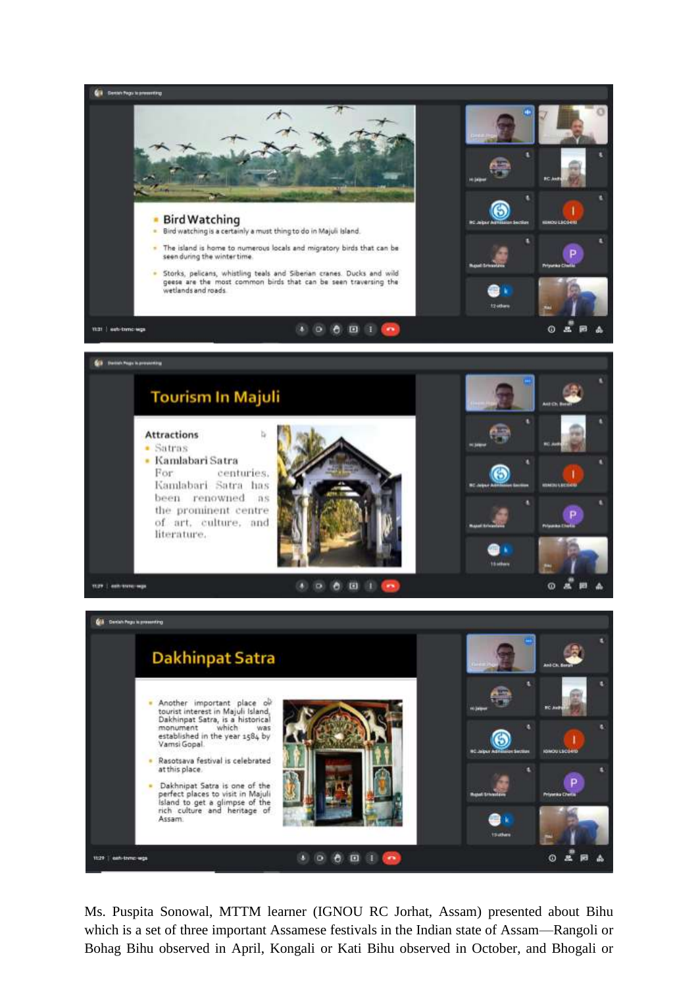

Ms. Puspita Sonowal, MTTM learner (IGNOU RC Jorhat, Assam) presented about Bihu which is a set of three important Assamese festivals in the Indian state of Assam—Rangoli or Bohag Bihu observed in April, Kongali or Kati Bihu observed in October, and Bhogali or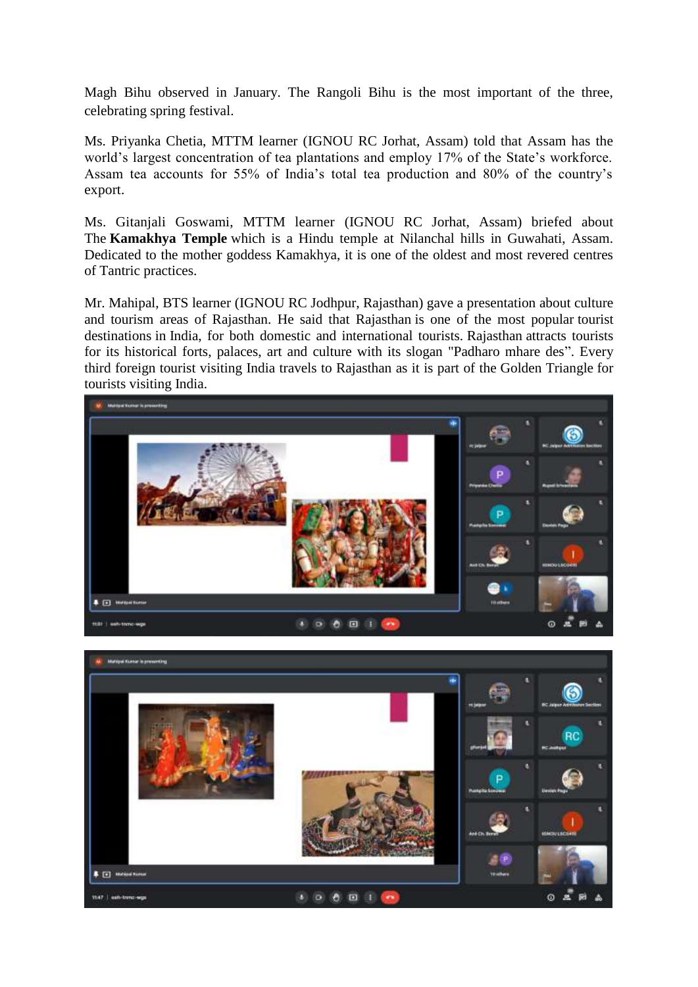Magh Bihu observed in January. The Rangoli Bihu is the most important of the three, celebrating spring festival.

Ms. Priyanka Chetia, MTTM learner (IGNOU RC Jorhat, Assam) told that Assam has the world's largest concentration of tea plantations and employ 17% of the State's workforce. Assam tea accounts for 55% of India's total tea production and 80% of the country's export.

Ms. Gitanjali Goswami, MTTM learner (IGNOU RC Jorhat, Assam) briefed about The **Kamakhya Temple** which is a Hindu temple at Nilanchal hills in Guwahati, Assam. Dedicated to the mother goddess Kamakhya, it is one of the oldest and most revered centres of Tantric practices.

Mr. Mahipal, BTS learner (IGNOU RC Jodhpur, Rajasthan) gave a presentation about culture and tourism areas of Rajasthan. He said that [Rajasthan](https://en.wikipedia.org/wiki/Rajasthan) is one of the most popular [tourist](https://en.wikipedia.org/wiki/Tourist_destinations)  [destinations](https://en.wikipedia.org/wiki/Tourist_destinations) in [India,](https://en.wikipedia.org/wiki/India) for both domestic and international tourists. [Rajasthan](https://en.wikipedia.org/wiki/Rajasthan) attracts tourists for its historical forts, palaces, art and culture with its slogan "Padharo mhare des". Every third foreign tourist visiting India travels to Rajasthan as it is part of the [Golden Triangle](https://en.wikipedia.org/wiki/Golden_Triangle_(India)) for tourists visiting India.



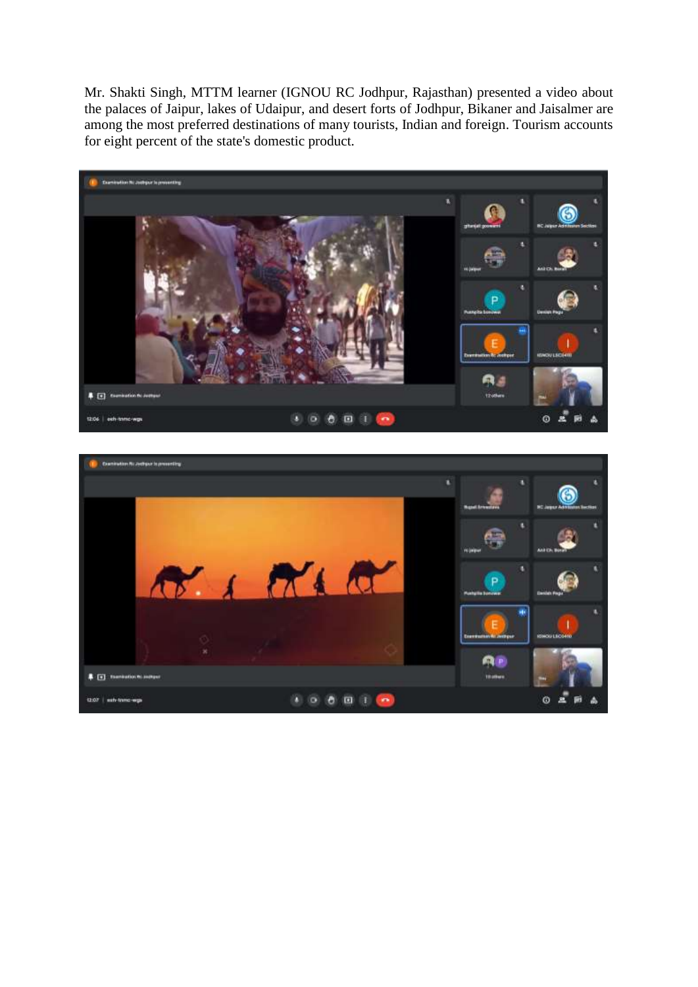Mr. Shakti Singh, MTTM learner (IGNOU RC Jodhpur, Rajasthan) presented a video about the palaces of [Jaipur,](https://en.wikipedia.org/wiki/Jaipur) lakes of [Udaipur,](https://en.wikipedia.org/wiki/Udaipur) and desert forts of [Jodhpur,](https://en.wikipedia.org/wiki/Jodhpur) [Bikaner](https://en.wikipedia.org/wiki/Bikaner) and [Jaisalmer](https://en.wikipedia.org/wiki/Jaisalmer) are among the most preferred destinations of many tourists, Indian and foreign. Tourism accounts for eight percent of the state's domestic product.